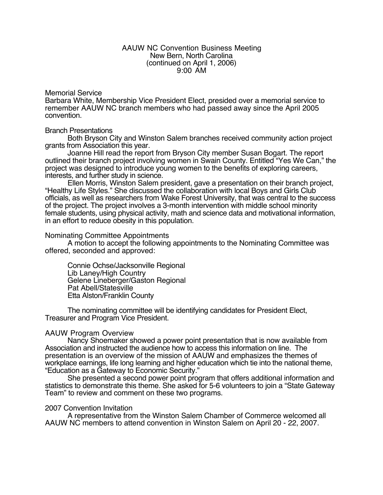#### AAUW NC Convention Business Meeting New Bern, North Carolina (continued on April 1, 2006) 9:00 AM

### Memorial Service

Barbara White, Membership Vice President Elect, presided over a memorial service to remember AAUW NC branch members who had passed away since the April 2005 convention.

#### Branch Presentations

Both Bryson City and Winston Salem branches received community action project grants from Association this year.

Joanne Hill read the report from Bryson City member Susan Bogart. The report outlined their branch project involving women in Swain County. Entitled "Yes We Can," the project was designed to introduce young women to the benefits of exploring careers, interests, and further study in science.

Ellen Morris, Winston Salem president, gave a presentation on their branch project, "Healthy Life Styles." She discussed the collaboration with local Boys and Girls Club officials, as well as researchers from Wake Forest University, that was central to the success of the project. The project involves a 3-month intervention with middle school minority female students, using physical activity, math and science data and motivational information, in an effort to reduce obesity in this population.

### Nominating Committee Appointments

A motion to accept the following appointments to the Nominating Committee was offered, seconded and approved:

Connie Ochse/Jacksonville Regional Lib Laney/High Country Gelene Lineberger/Gaston Regional Pat Abell/Statesville Etta Alston/Franklin County

The nominating committee will be identifying candidates for President Elect, Treasurer and Program Vice President.

### AAUW Program Overview

Nancy Shoemaker showed a power point presentation that is now available from Association and instructed the audience how to access this information on line. The presentation is an overview of the mission of AAUW and emphasizes the themes of workplace earnings, life long learning and higher education which tie into the national theme, "Education as a Gateway to Economic Security."

She presented a second power point program that offers additional information and statistics to demonstrate this theme. She asked for 5-6 volunteers to join a "State Gateway Team" to review and comment on these two programs.

### 2007 Convention Invitation

A representative from the Winston Salem Chamber of Commerce welcomed all AAUW NC members to attend convention in Winston Salem on April 20 - 22, 2007.